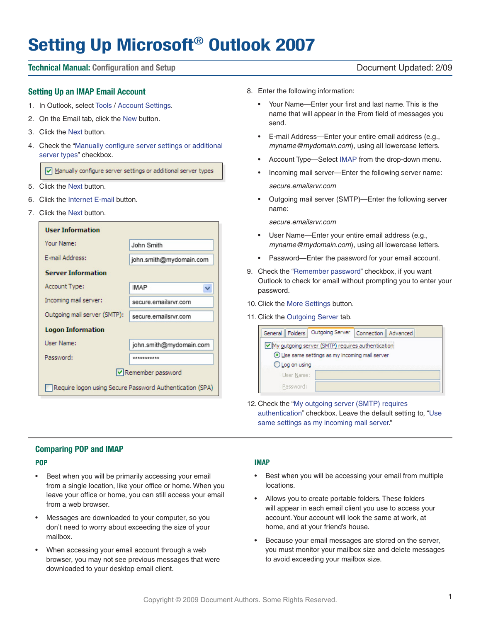# **Setting Up Microsoft**® **Outlook 2007**

# **Technical Manual: Configuration and Setup** Document Updated: 2/09

# **Setting Up an IMAP Email Account**

- 1. In Outlook, select Tools / Account Settings.
- 2. On the Email tab, click the New button.
- 3. Click the Next button.
- 4. Check the "Manually configure server settings or additional server types" checkbox.

Manually configure server settings or additional server types

- 5. Click the Next button.
- 6. Click the Internet E-mail button.
- 7. Click the Next button.

| <b>User Information</b>                                  |                         |  |  |  |
|----------------------------------------------------------|-------------------------|--|--|--|
| Your Name:                                               | John Smith              |  |  |  |
| F-mail Address:                                          | john.smith@mydomain.com |  |  |  |
| <b>Server Information</b>                                |                         |  |  |  |
| Account Type:                                            | IMAP                    |  |  |  |
| Incoming mail server:                                    | secure.emailsrvr.com    |  |  |  |
| Outgoing mail server (SMTP):                             | secure.emailsrvr.com    |  |  |  |
| <b>Logon Information</b>                                 |                         |  |  |  |
| <b>User Name:</b>                                        | john.smith@mydomain.com |  |  |  |
| Password:                                                | *********               |  |  |  |
| Remember password                                        |                         |  |  |  |
| Require logon using Secure Password Authentication (SPA) |                         |  |  |  |

- 8. Enter the following information:
	- • Your Name—Enter your first and last name. This is the name that will appear in the From field of messages you send.
	- • E-mail Address—Enter your entire email address (e.g., *myname@mydomain.com*), using all lowercase letters.
	- Account Type-Select IMAP from the drop-down menu.
	- Incoming mail server—Enter the following server name: *secure.emailsrvr.com*
	- Outgoing mail server (SMTP)-Enter the following server name:

*secure.emailsrvr.com*

- User Name—Enter your entire email address (e.g., *myname@mydomain.com*), using all lowercase letters.
- • Password—Enter the password for your email account.
- 9. Check the "Remember password" checkbox, if you want Outlook to check for email without prompting you to enter your password.
- 10. Click the More Settings button.
- 11. Click the Outgoing Server tab.

| Folders<br>General                                  | Outgoing Server | Connection    Advanced |  |  |
|-----------------------------------------------------|-----------------|------------------------|--|--|
| V My outgoing server (SMTP) requires authentication |                 |                        |  |  |
| Use same settings as my incoming mail server        |                 |                        |  |  |
| Log on using                                        |                 |                        |  |  |
| User Name:                                          |                 |                        |  |  |
| Password:                                           |                 |                        |  |  |

12. Check the "My outgoing server (SMTP) requires authentication" checkbox. Leave the default setting to, "Use same settings as my incoming mail server."

# **Comparing POP and IMAP**

### **POP**

- • Best when you will be primarily accessing your email from a single location, like your office or home. When you leave your office or home, you can still access your email from a web browser.
- • Messages are downloaded to your computer, so you don't need to worry about exceeding the size of your mailbox.
- When accessing your email account through a web browser, you may not see previous messages that were downloaded to your desktop email client.

# **IMAP**

- Best when you will be accessing your email from multiple locations.
- Allows you to create portable folders. These folders will appear in each email client you use to access your account.Your account will look the same at work, at home, and at your friend's house.
- Because your email messages are stored on the server, you must monitor your mailbox size and delete messages to avoid exceeding your mailbox size.